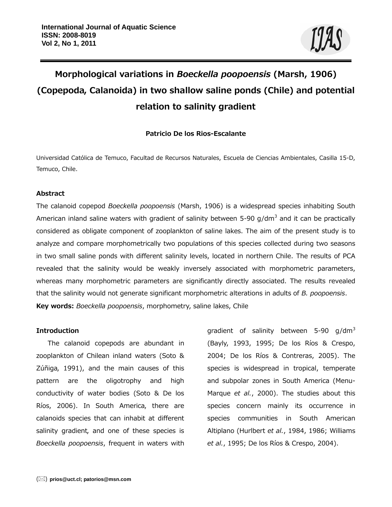# **Morphological variations in** *Boeckella poopoensis* **(Marsh, 1906) (Copepoda, Calanoida) in two shallow saline ponds (Chile) and potential relation to salinity gradient**

# **Patricio De los Rios-Escalante**

Universidad Católica de Temuco, Facultad de Recursos Naturales, Escuela de Ciencias Ambientales, Casilla 15-D, Temuco, Chile.

## **Abstract**

The calanoid copepod *Boeckella poopoensis* (Marsh, 1906) is a widespread species inhabiting South American inland saline waters with gradient of salinity between 5-90 g/dm<sup>3</sup> and it can be practically considered as obligate component of zooplankton of saline lakes. The aim of the present study is to analyze and compare morphometrically two populations of this species collected during two seasons in two small saline ponds with different salinity levels, located in northern Chile. The results of PCA revealed that the salinity would be weakly inversely associated with morphometric parameters, whereas many morphometric parameters are significantly directly associated. The results revealed that the salinity would not generate significant morphometric alterations in adults of *B. poopoensis*. **Key words:** *Boeckella poopoensis*, morphometry, saline lakes, Chile

#### **Introduction**

The calanoid copepods are abundant in zooplankton of Chilean inland waters (Soto & Zúñiga, 1991), and the main causes of this pattern are the oligotrophy and high conductivity of water bodies (Soto & De los Ríos, 2006). In South America, there are calanoids species that can inhabit at different salinity gradient, and one of these species is *Boeckella poopoensis*, frequent in waters with gradient of salinity between 5-90  $q/dm^3$ (Bayly, 1993, 1995; De los Ríos & Crespo, 2004; De los Ríos & Contreras, 2005). The species is widespread in tropical, temperate and subpolar zones in South America (Menu-Marque *et al.*, 2000). The studies about this species concern mainly its occurrence in species communities in South American Altiplano (Hurlbert *et al.*, 1984, 1986; Williams *et al.*, 1995; De los Ríos & Crespo, 2004).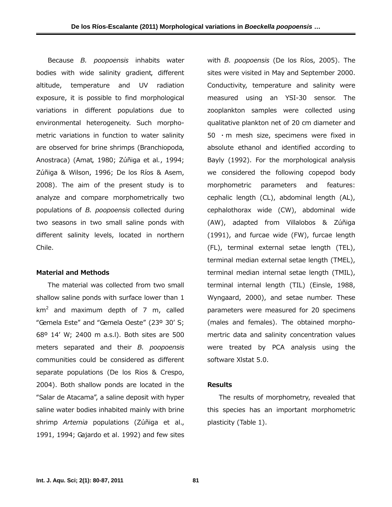Because *B. poopoensis* inhabits water bodies with wide salinity gradient, different altitude, temperature and UV radiation exposure, it is possible to find morphological variations in different populations due to environmental heterogeneity. Such morphometric variations in function to water salinity are observed for brine shrimps (Branchiopoda, Anostraca) (Amat, 1980; Zúñiga et al*.*, 1994; Zúñiga & Wilson, 1996; De los Ríos & Asem, 2008). The aim of the present study is to analyze and compare morphometrically two populations of *B. poopoensis* collected during two seasons in two small saline ponds with different salinity levels, located in northern Chile.

#### **Material and Methods**

The material was collected from two small shallow saline ponds with surface lower than 1  $km<sup>2</sup>$  and maximum depth of 7 m, called "Gemela Este" and "Gemela Oeste" (23º 30' S; 68º 14' W; 2400 m a.s.l). Both sites are 500 meters separated and their *B. poopoensis*  communities could be considered as different separate populations (De los Rios & Crespo, 2004). Both shallow ponds are located in the "Salar de Atacama", a saline deposit with hyper saline water bodies inhabited mainly with brine shrimp *Artemia* populations (Zúñiga et al., 1991, 1994; Gajardo et al. 1992) and few sites

with *B. poopoensis* (De los Ríos, 2005). The sites were visited in May and September 2000. Conductivity, temperature and salinity were measured using an YSI-30 sensor. The zooplankton samples were collected using qualitative plankton net of 20 cm diameter and 50  $\cdot$  m mesh size, specimens were fixed in absolute ethanol and identified according to Bayly (1992). For the morphological analysis we considered the following copepod body morphometric parameters and features: cephalic length (CL), abdominal length (AL), cephalothorax wide (CW), abdominal wide (AW), adapted from Villalobos & Zúñiga (1991), and furcae wide (FW), furcae length (FL), terminal external setae length (TEL), terminal median external setae length (TMEL), terminal median internal setae length (TMIL), terminal internal length (TIL) (Einsle, 1988, Wyngaard, 2000), and setae number. These parameters were measured for 20 specimens (males and females). The obtained morphomertric data and salinity concentration values were treated by PCA analysis using the software Xlstat 5.0.

#### **Results**

The results of morphometry, revealed that this species has an important morphometric plasticity (Table 1).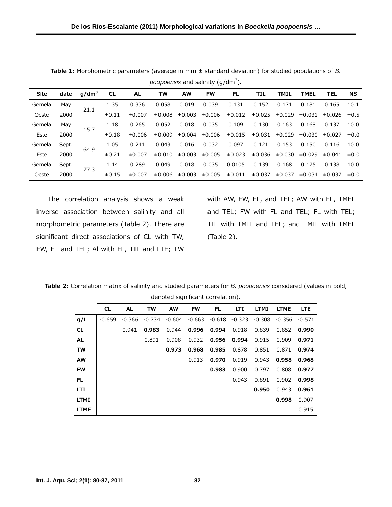| <b>Site</b> | date  | $q/dm^3$ | <b>CL</b>  | <b>AL</b> | TW     | <b>AW</b> | <b>FW</b> | FL          | TIL    | <b>TMIL</b> | <b>TMEL</b> | <b>TEL</b>            | <b>NS</b> |
|-------------|-------|----------|------------|-----------|--------|-----------|-----------|-------------|--------|-------------|-------------|-----------------------|-----------|
| Gemela      | May   | 21.1     | 1.35       | 0.336     | 0.058  | 0.019     | 0.039     | 0.131       | 0.152  | 0.171       | 0.181       | 0.165                 | 10.1      |
| Oeste       | 2000  |          | $\pm 0.11$ | ±0.007    | ±0.008 | ±0.003    | ±0.006    | ±0.012      | ±0.025 | ±0.029      | ±0.031      | $\pm 0.026$ $\pm 0.5$ |           |
| Gemela      | May   | 15.7     | 1.18       | 0.265     | 0.052  | 0.018     | 0.035     | 0.109       | 0.130  | 0.163       | 0.168       | 0.137                 | 10.0      |
| Este        | 2000  |          | $\pm 0.18$ | ±0.006    | ±0.009 | ±0.004    | ±0.006    | ±0.015      | ±0.031 | ±0.029      | ±0.030      | $\pm 0.027$ $\pm 0.0$ |           |
| Gemela      | Sept. | 64.9     | 1.05       | 0.241     | 0.043  | 0.016     | 0.032     | 0.097       | 0.121  | 0.153       | 0.150       | 0.116                 | 10.0      |
| Este        | 2000  |          | ±0.21      | ±0.007    | ±0.010 | ±0.003    | ±0.005    | ±0.023      | ±0.036 | ±0.030      | ±0.029      | $\pm 0.041$ $\pm 0.0$ |           |
| Gemela      | Sept. | 77.3     | 1.14       | 0.289     | 0.049  | 0.018     | 0.035     | 0.0105      | 0.139  | 0.168       | 0.175       | 0.138                 | 10.0      |
| Oeste       | 2000  |          | ±0.15      | ±0.007    | ±0.006 | ±0.003    | ±0.005    | $\pm 0.011$ | ±0.037 | ±0.037      | ±0.034      | ±0.037                | $\pm 0.0$ |

**Table 1:** Morphometric parameters (average in mm ± standard deviation) for studied populations of *B. poopoensis* and salinity (g/dm<sup>3</sup> )*.* 

The correlation analysis shows a weak inverse association between salinity and all morphometric parameters (Table 2). There are significant direct associations of CL with TW, FW, FL and TEL; Al with FL, TIL and LTE; TW

with AW, FW, FL, and TEL; AW with FL, TMEL and TEL; FW with FL and TEL; FL with TEL; TIL with TMIL and TEL; and TMIL with TMEL (Table 2).

**Table 2:** Correlation matrix of salinity and studied parameters for *B. poopoensis* considered (values in bold, denoted significant correlation).

|             | <b>CL</b> | <b>AL</b> | <b>TW</b> | <b>AW</b> | <b>FW</b> | FL.      | <b>LTI</b> | <b>LTMI</b> | <b>LTME</b> | <b>LTE</b> |  |  |
|-------------|-----------|-----------|-----------|-----------|-----------|----------|------------|-------------|-------------|------------|--|--|
| g/L         | $-0.659$  | -0.366    | $-0.734$  | -0.604    | $-0.663$  | $-0.618$ | $-0.323$   | $-0.308$    | -0.356      | $-0.571$   |  |  |
| <b>CL</b>   |           | 0.941     | 0.983     | 0.944     | 0.996     | 0.994    | 0.918      | 0.839       | 0.852       | 0.990      |  |  |
| <b>AL</b>   |           |           | 0.891     | 0.908     | 0.932     | 0.956    | 0.994      | 0.915       | 0.909       | 0.971      |  |  |
| <b>TW</b>   |           |           |           | 0.973     | 0.968     | 0.985    | 0.878      | 0.851       | 0.871       | 0.974      |  |  |
| <b>AW</b>   |           |           |           |           | 0.913     | 0.970    | 0.919      | 0.943       | 0.958       | 0.968      |  |  |
| <b>FW</b>   |           |           |           |           |           | 0.983    | 0.900      | 0.797       | 0.808       | 0.977      |  |  |
| FL.         |           |           |           |           |           |          | 0.943      | 0.891       | 0.902       | 0.998      |  |  |
| <b>LTI</b>  |           |           |           |           |           |          |            | 0.950       | 0.943       | 0.961      |  |  |
| <b>LTMI</b> |           |           |           |           |           |          |            |             | 0.998       | 0.907      |  |  |
| <b>LTME</b> |           |           |           |           |           |          |            |             |             | 0.915      |  |  |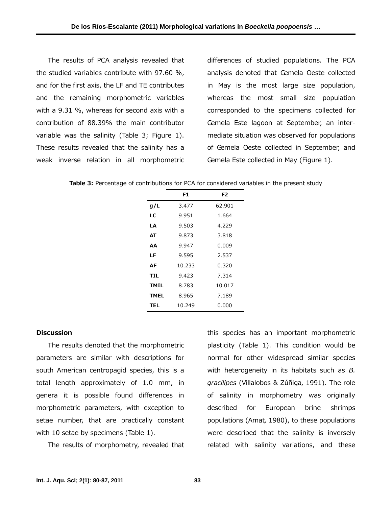The results of PCA analysis revealed that the studied variables contribute with 97.60 %, and for the first axis, the LF and TE contributes and the remaining morphometric variables with a 9.31 %, whereas for second axis with a contribution of 88.39% the main contributor variable was the salinity (Table 3; Figure 1). These results revealed that the salinity has a weak inverse relation in all morphometric

differences of studied populations. The PCA analysis denoted that Gemela Oeste collected in May is the most large size population, whereas the most small size population corresponded to the specimens collected for Gemela Este lagoon at September, an intermediate situation was observed for populations of Gemela Oeste collected in September, and Gemela Este collected in May (Figure 1).

Table 3: Percentage of contributions for PCA for considered variables in the present study

|             | F1     | F2     |
|-------------|--------|--------|
| g/L         | 3.477  | 62.901 |
| LC          | 9.951  | 1.664  |
| LA          | 9.503  | 4.229  |
| АΤ          | 9.873  | 3.818  |
| АΑ          | 9.947  | 0.009  |
| LF          | 9.595  | 2.537  |
| AF          | 10.233 | 0.320  |
| TIL         | 9.423  | 7.314  |
| <b>TMIL</b> | 8.783  | 10.017 |
| <b>TMEL</b> | 8.965  | 7.189  |
| TEL         | 10.249 | 0.000  |

#### **Discussion**

The results denoted that the morphometric parameters are similar with descriptions for south American centropagid species, this is a total length approximately of 1.0 mm, in genera it is possible found differences in morphometric parameters, with exception to setae number, that are practically constant with 10 setae by specimens (Table 1).

The results of morphometry, revealed that

this species has an important morphometric plasticity (Table 1). This condition would be normal for other widespread similar species with heterogeneity in its habitats such as *B. gracilipes* (Villalobos & Zúñiga, 1991). The role of salinity in morphometry was originally described for European brine shrimps populations (Amat, 1980), to these populations were described that the salinity is inversely related with salinity variations, and these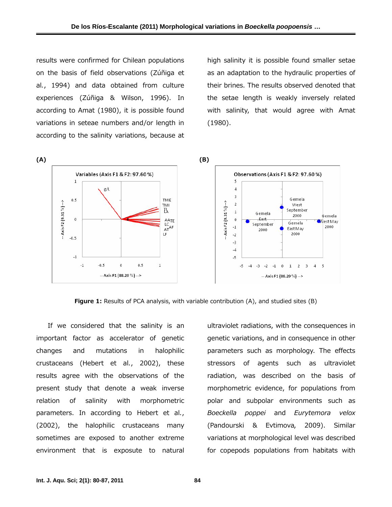results were confirmed for Chilean populations on the basis of field observations (Zúñiga et al*.*, 1994) and data obtained from culture experiences (Zúñiga & Wilson, 1996). In according to Amat (1980), it is possible found variations in seteae numbers and/or length in according to the salinity variations, because at

high salinity it is possible found smaller setae as an adaptation to the hydraulic properties of their brines. The results observed denoted that the setae length is weakly inversely related with salinity, that would agree with Amat (1980).



**Figure 1:** Results of PCA analysis, with variable contribution (A), and studied sites (B)

If we considered that the salinity is an important factor as accelerator of genetic changes and mutations in halophilic crustaceans (Hebert et al*.*, 2002), these results agree with the observations of the present study that denote a weak inverse relation of salinity with morphometric parameters. In according to Hebert et al*.*, (2002), the halophilic crustaceans many sometimes are exposed to another extreme environment that is exposute to natural

ultraviolet radiations, with the consequences in genetic variations, and in consequence in other parameters such as morphology. The effects stressors of agents such as ultraviolet radiation, was described on the basis of morphometric evidence, for populations from polar and subpolar environments such as *Boeckella poppei* and *Eurytemora velox* (Pandourski & Evtimova, 2009). Similar variations at morphological level was described for copepods populations from habitats with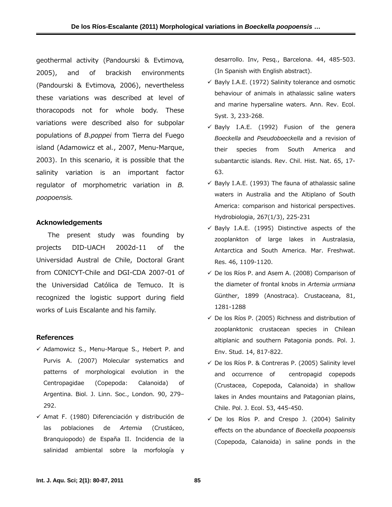geothermal activity (Pandourski & Evtimova, 2005), and of brackish environments (Pandourski & Evtimova, 2006), nevertheless these variations was described at level of thoracopods not for whole body. These variations were described also for subpolar populations of *B.poppei* from Tierra del Fuego island (Adamowicz et al*.*, 2007, Menu-Marque, 2003). In this scenario, it is possible that the salinity variation is an important factor regulator of morphometric variation in *B. poopoensis.* 

## **Acknowledgements**

The present study was founding by projects DID-UACH 2002d-11 of the Universidad Austral de Chile, Doctoral Grant from CONICYT-Chile and DGI-CDA 2007-01 of the Universidad Católica de Temuco. It is recognized the logistic support during field works of Luis Escalante and his family.

## **References**

- $\checkmark$  Adamowicz S., Menu-Marque S., Hebert P. and Purvis A. (2007) Molecular systematics and patterns of morphological evolution in the Centropagidae (Copepoda: Calanoida) of Argentina. Biol. J. Linn. Soc., London*.* 90, 279– 292.
- $\checkmark$  Amat F. (1980) Diferenciación y distribución de las poblaciones de *Artemia* (Crustáceo, Branquiopodo) de España II. Incidencia de la salinidad ambiental sobre la morfología y

desarrollo. Inv, Pesq., Barcelona. 44, 485-503. (In Spanish with English abstract).

- $\checkmark$  Bayly I.A.E. (1972) Salinity tolerance and osmotic behaviour of animals in athalassic saline waters and marine hypersaline waters. Ann. Rev. Ecol. Syst. 3, 233-268.
- $\checkmark$  Bayly I.A.E. (1992) Fusion of the genera *Boeckella* and *Pseudoboeckella* and a revision of their species from South America and subantarctic islands. Rev. Chil. Hist. Nat. 65, 17- 63.
- $\checkmark$  Bayly I.A.E. (1993) The fauna of athalassic saline waters in Australia and the Altiplano of South America: comparison and historical perspectives. Hydrobiologia, 267(1/3), 225-231
- $\checkmark$  Bayly I.A.E. (1995) Distinctive aspects of the zooplankton of large lakes in Australasia, Antarctica and South America. Mar. Freshwat. Res. 46, 1109-1120.
- $\checkmark$  De los Ríos P. and Asem A. (2008) Comparison of the diameter of frontal knobs in *Artemia urmiana* Günther, 1899 (Anostraca). Crustaceana, 81, 1281-1288
- $\checkmark$  De los Ríos P. (2005) Richness and distribution of zooplanktonic crustacean species in Chilean altiplanic and southern Patagonia ponds. Pol. J. Env. Stud. 14, 817-822.
- $\checkmark$  De los Ríos P. & Contreras P. (2005) Salinity level and occurrence of centropagid copepods (Crustacea, Copepoda, Calanoida) in shallow lakes in Andes mountains and Patagonian plains, Chile. Pol. J. Ecol. 53, 445-450.
- $\checkmark$  De los Ríos P. and Crespo J. (2004) Salinity effects on the abundance of *Boeckella poopoensis*  (Copepoda, Calanoida) in saline ponds in the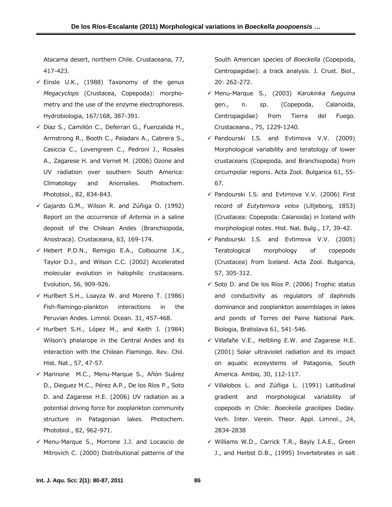Atacama desert, northern Chile. Crustaceana, 77, 417-423.

- $\checkmark$  Einsle U.K., (1988) Taxonomy of the genus *Megacyclops* (Crustacea, Copepoda): morphometry and the use of the enzyme electrophoresis. Hydrobiologia, 167/168, 387-391.
- 9 Diaz S., Camillón C., Deferrari G., Fuenzalida H., Armstrong R., Booth C., Paladani A., Cabrera S., Casiccia C., Lovengreen C., Pedroni J., Rosales A., Zagarese H. and Vernet M. (2006) Ozone and UV radiation over southern South America: Climatology and Anomalies. Photochem. Photobiol., 82, 834-843.
- $\checkmark$  Gajardo G.M., Wilson R. and Zúñiga O. (1992) Report on the occurrence of *Artemia* in a saline deposit of the Chilean Andes (Branchiopoda, Anostraca). Crustaceana, 63, 169-174.
- $\checkmark$  Hebert P.D.N., Remigio E.A., Colbourne J.K., Taylor D.J., and Wilson C.C. (2002) Accelerated molecular evolution in halophilic crustaceans. Evolution, 56, 909-926.
- $\checkmark$  Hurlbert S.H., Loayza W. and Moreno T. (1986) Fish-flamingo-plankton interactions in the Peruvian Andes. Limnol. Ocean. 31, 457-468.
- $\checkmark$  Hurlbert S.H., López M., and Keith J. (1984) Wilson's phalarope in the Central Andes and its interaction with the Chilean Flamingo. Rev. Chil. Hist. Nat., 57, 47-57.
- $\checkmark$  Marinone M.C., Menu-Marque S., Añón Suárez D., Dieguez M.C., Pérez A.P., De los Ríos P., Soto D. and Zagarese H.E. (2006) UV radiation as a potential driving force for zooplankton community structure in Patagonian lakes. Photochem. Photobiol., 82, 962-971.
- $\checkmark$  Menu-Marque S., Morrone J.J. and Locascio de Mitrovich C. (2000) Distributional patterns of the

South American species of *Boeckella* (Copepoda, Centropagidae): a track analysis. J. Crust. Biol., 20: 262-272.

- 9 Menu-Marque S., (2003) *Karukinka fueguina* gen., n. sp. (Copepoda, Calanoida, Centropagidae) from Tierra del Fuego. Crustaceana., 75, 1229-1240.
- $\checkmark$  Pandourski I.S. and Evtimova V.V. (2009) Morphological variability and teratology of lower crustaceans (Copepoda, and Branchiopoda) from circumpolar regions. Acta Zool. Bulgarica 61, 55- 67.
- $\checkmark$  Pandourski I.S. and Evtimova V.V. (2006) First record of *Eutytemora velox* (Lilljeborg, 1853) (Crustacea: Copepoda: Calanoida) in Iceland with morphological notes. Hist. Nat. Bulg., 17, 39-42.
- $\checkmark$  Pandourski I.S. and Evtimova V.V. (2005) Teratological morphology of copepods (Crustacea) from Iceland. Acta Zool. Bulgarica, 57, 305-312.
- $\checkmark$  Soto D. and De los Ríos P. (2006) Trophic status and conductivity as regulators of daphnids dominance and zooplankton assemblages in lakes and ponds of Torres del Paine National Park. Biologia, Bratislava 61, 541-546.
- $\checkmark$  Villafañe V.E., Helbling E.W. and Zagarese H.E. (2001) Solar ultraviolet radiation and its impact on aquatic ecosystems of Patagonia, South America. Ambio*,* 30, 112-117.
- $\checkmark$  Villalobos L. and Zúñiga L. (1991) Latitudinal gradient and morphological variability of copepods in Chile: *Boeckella gracilipes* Daday. Verh. Inter. Verein. Theor. Appl. Limnol., 24, 2834-2838
- $\checkmark$  Williams W.D., Carrick T.R., Bayly I.A.E., Green J., and Herbst D.B., (1995) Invertebrates in salt